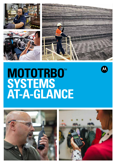





# **MOTOTRBO**™ **SYSTEMS AT-A-GLANCE**





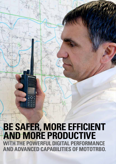**AND ADVANCED CAPABILITIES OF MOTOTRBO. BE SAFER, MORE EFFICIENT AND MORE PRODUCTIVE WITH THE POWERFUL DIGITAL PERFORMANCE** 

**MOTOTRBO**™

SYSTEMS AT A GLANCE BROCHURE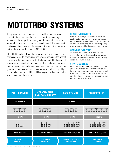# **MOTOTRBO**™  **SYSTEMS**

Today more than ever, your workers need to deliver maximum productivity to keep your business competitive. Handling shipments at a seaport, managing maintenance at a resort or serving fans at a sports complex, they all need to have access to business-critical voice and data communications. And there's no better platform for that than MOTOTRBO.

MOTOTRBO makes efficient information-sharing a reality. Our professional digital communication system combines the best of two-way radio functionality with the latest digital technology. It integrates voice and data seamlessly, offers enhanced features that are easy to use and delivers increased capacity to meet your growing communication needs. With exceptional voice quality and long battery life, MOTOTRBO keeps your workers connected when communication is a must.

### **REACH EVERYWHERE**

When you're running a professional operation, you need more than just radio-to-radio communications. MOTOTRBO has coverage options to suit your needs – whether you're operating in a single building, a large campus, or even multiple locations around the world.

### **CONNECT EVERYONE**

As your business grows, MOTOTRBO can grow with you. Connecting thousands of radio users and smartphone users in a single location, your capacity options are virtually unlimited.

### **STAY IN CONTROL**

MOTOTRBO systems offer you complete control of your communications needs. With flexible options for subscriber management and access control, and several levels of security and privacy, you can be confident that your system is operating at maximum efficiency and effectiveness.

| <b>IP SITE CONNECT</b>             | <b>CAPACITY PLUS</b><br>(SINGLE & MULTI-SITE) | <b>CAPACITY MAX</b>                             | <b>CONNECT PLUS</b>                                                                   |  |
|------------------------------------|-----------------------------------------------|-------------------------------------------------|---------------------------------------------------------------------------------------|--|
| <b>CONVENTIONAL</b>                |                                               | <b>TRUNKING</b>                                 |                                                                                       |  |
|                                    | 019619 <b>619</b> 619619<br>A<br>A            | A                                               | $@{1} 9 @{1} 9 @{1} 9 @{1} 9 @{1} 9 @{1} 9 @{1} 9 @{1} 9 @{1} 9$<br>A<br>A<br>$\beta$ |  |
| $1 - 15$ SITES                     | $1 - 15$ SITES                                | $1 - 15$ SITES                                  | $1 - 250$ SITES                                                                       |  |
| 酣                                  | dddd as                                       | ddddddd <sub>cas</sub>                          | deedded <sub>as</sub>                                                                 |  |
| <b>UP TO 200 USERS*</b>            | UP TO 1600 USERS/SITE*                        | UP TO 3000 USERS/SITE*                          | UP TO 3000 USERS/SITE*                                                                |  |
| <b>BASELINE</b><br><b>COVERAGE</b> | <b>COST EFFECTIVE</b><br><b>CAPACITY</b>      | <b>COVERAGE, CAPACITY</b><br><b>AND CONTROL</b> | <b>EXCEPTIONAL</b><br><b>COVERAGE</b>                                                 |  |

\*Maximum capacity, based on standardised low traffic call model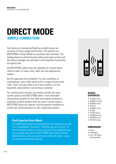# **SIMPLE CONNECTION DIRECT MODE**

The factory on Commercial Road has a bright future, but currently it's only a single small facility. The workers use MOTOTRBO in Direct Mode to coordinate their activities. The loading dock can call the foreman when parts have arrived, and the factory manager can call down to the shop floor to prioritise an urgent order.

All MOTOTRBO radios have the capability to connect direct: radio-to-radio, for basic voice, data, text and applications support.

But this approach has limitations. For your workforce to communicate, every radio needs to be in range of every other radio. That's not easy when one of your workers is in the basement, and another is out serving a customer.

For a professional solution, you should consider the many system options that MOTOTRBO offers. From affordable conventional systems for the small and medium business to enormous trunked systems that can cover a whole country, MOTOTRBO gives you choices, and the graceful scalability to evolve your communications as your organization grows.

### **Dual Capacity Direct Mode**

The DMR digital radio standard requires each channel to be split into 2 independent "timeslots". Typically, you can only use 1 of these timeslots unless you have a central timing reference such as a repeater. But with the MOTOTRBO Dual Capacity Direct Mode feature, radios can synchronise with each other - so you can use the full channel capacity.



### **RADIOS SUPPORTED**

- SL4000e Series
- DP4000 Ex Series
- DP4000e Series
- DP3441e
- DP2000e Series
- $\bullet$  SL1600
- DP1000 Series
- DM4000e Series
- DM2000 Series
- DM1000 Series

- 0 Sites
- 0 Repeaters
- Up to 100 Radios (recommended)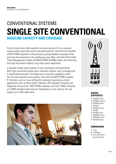## CONVENTIONAL SYSTEMS **SINGLE SITE CONVENTIONAL BASELINE CAPACITY AND COVERAGE**

This city hotel must offer excellent customer service if it is to succeed. Guests need to feel safe, secure and well cared-for. The hotel has installed a MOTOTRBO repeater on the premises, giving excellent coverage all the way from the basement to the penthouse suite. Now, with their Work Order Ticket Management system and MOTOTRBO SL4000e radios, the staff have the tools they need to deliver a top-class guest experience.

A repeater brings many benefits to your workplace communications. With high transmitter power and a sensitive receiver, your coverage area is significantly boosted. The digital error correction capability within the unit also improves voice quality. And with the MOTOTRBO repeater IP interface, you can more efficiently implement operations-critical applications such as Work Order Ticketing, GPS Dispatch Consoles and Telephone Interconnect. MOTOTRBO repeaters use both TDMA timeslots of a DMR standard radio channel. Depending on user activity, this can support up to 200 radio users. **RADIOS RADIOS** 



### **SUPPORTED**

- SL4000e Series
- DP4000 Ex Series
- DP4000e Series
- DP3441e
- DP2000e Series
- $\bullet$  SL1600
- DP1000 Series
- DM4000e Series
- DM2000 Series
- DM1000 Series

- 1 Site
- 1 Repeater
- Up to 200 Radios (recommended)

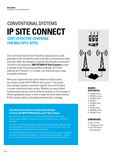### CONVENTIONAL SYSTEMS **IP SITE CONNECT COST-EFFECTIVE COVERAGE FOR MULTIPLE SITES**

This rural School District has 10 facilities spread across a wide geographic area. All facilities need to be able to communicate freely with each other, for emergency response and everyday coordination. The district has deployed a **MOTOTRBO IP Site Connect** system: a repeater at each site giving excellent coverage, all of them linked by an IP network. It's a simple, cost-effective way to keep everybody connected.

When your organization has grown beyond a single location, you should consider MOTOTRBO IP Site Connect. This system uses multiple repeaters connected together with an IP network to create a distributed radio system. Whether you need unified communications across several different facilities, in-fill coverage in difficult geographic areas, or even a single-site multi-band network, IP Site Connect delivers affordable communication coverage.

### **Glen Ellyn School District 41 Helps Keep Schools in Touch with MOTOTRBO Radios and IP Site Connect**

Glen Ellyn, Illinois, School District 41 relies on MOTOTRBO digital radios to keep communications available during emergencies and increase efficiency for day-to-day operations.

Installation of centrally located roof-mounted repeaters extends signal range, providing coverage throughout the entire district. The district is in a hilly area, which made it even more difficult to get a signal outside the school building.

"The MOTOTRBO radios allow us to talk virtually from anywhere in our district to anywhere in our district, including the bus garages," says the Assistant Superintendent. "We gave their coordinator one of our radios too. That allows us to maintain contact with them."



### **RADIOS SUPPORTED**

- SL4000e Series
- DP4000 Ex Series
- DP4000e Series
- DP3441e
- DP2000e Series
- SL1600
- DP1000 Series
- DM4000e Series
- DM2000 Series

- Up to 15 Sites
- 1 Repeater per Site
- Up to 200 Radios (recommended)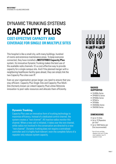### DYNAMIC TRUNKING SYSTEMS **CAPACITY PLUS COST-EFFECTIVE CAPACITY AND COVERAGE FOR SINGLE OR MULTIPLE SITES**

This hospital is like a small city, with many buildings, hundred of rooms and extensive maintenance areas. To keep everyone connected, they have installed a **MOTOTRBO Capacity Plus** system. Its innovative Dynamic Trunking makes the best use of the available radio channels. It's a cost-effective way to provide capacity for a single campus site. And if the planned merger with a neighboring healthcare facility goes ahead, they can simply link the two Capacity Plus sites over IP.

Even as your organisation grows larger, you need to ensure that you stay efficient. Capacity Plus Single Site and Capacity Plus Multi-Site (formerly known as Linked Capacity Plus) utilise Motorola innovation to pool radio resources and allocate them efficiently. **RADIOS** 



### **SUPPORTED**

- SL4000e Series
- DP4000 Ex Series
- DP4000e Series
- DP3441e
- DP2000e
- DM4000e Series
- DM2000 Series

### **DIMENSIONS**

- Up to 15 Sites
- Up to 10 Repeaters per Site\*
- Up to 1600 Radios per Site (recommended)

\*Up to 8 voice and data repeaters, plus up to 12 data revert repeaters, max 10 repeaters in total.

### **Dynamic Trunking**

Capacity Plus uses an innovative form of trunking technology to maximise efficiency. Instead of a dedicated control channel, the system creates a "rest channel". All inactive radios monitor this channel. When a new call is initiated, it takes over the rest channel, while radios not involved in the conversation are directed to a new "rest channel". Dynamic trunking does not require a centralised controller and it is highly fault-tolerant: even the complete failure of a repeater only reduces system capacity.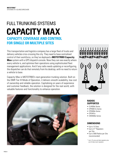### FULL TRUNKING SYSTEMS **CAPACITY MAX CAPACITY, COVERAGE AND CONTROL FOR SINGLE OR MULTIPLE SITES**

This transportation and logistics company has a large fleet of trucks and delivery vehicles criss-crossing the city. They need to have centralised control of their workforce, so they've deployed a **MOTOTRBO Capacity Max** system with a GPS dispatch console. Now they can see exactly where every vehicle is, and optimise their operations using sophisticated fleet management applications. And if any radio needs updating or reconfiguring, the dispatcher can do that remotely from his desktop, with no need to return a vehicle to base.

Capacity Max is MOTOTRBO's next-generation trunking solution. Built on the DMR Tier III Mode of Operation, it delivers smooth scalability, low cost of ownership and reliable operation. Capitalising on years of experience and customer feedback, the solution is designed for the real world, with valuable features and functionality to enhance operation.





### **RADIOS SUPPORTED**

- SL4000e Series
- DP4000 Ex Series
- DP4000e Series
- DP3441e
- DM4000e Series

- Up to 15 Sites
- Up to 21<sup>\*</sup> Repeaters per Site
- Up to 3000 Radios per Site (recommended)
- \* Up to 15 voice and data repeaters plus up to 6 data revert repeaters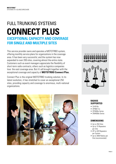### FULL TRUNKING SYSTEMS **CONNECT PLUS EXCEPTIONAL CAPACITY AND COVERAGE FOR SINGLE AND MULTIPLE SITES**

This service provider owns and operates a MOTOTRBO system, offering monthly service plans for organizations in the coverage area. It has been very successful, and the system has now expanded to over 200 sites, covering almost the entire state. Customers such as event managers appreciate the flexibility of short-term radio contracts; others such as logistics companies love the vast coverage area. But it's all brought together with the exceptional coverage and capacity of **MOTOTRBO Connect Plus.**

Connect Plus is the original MOTOTRBO trunking solution. In its latest evolution, it has stretched to cover an exceptional 250 sites, providing capacity and coverage to enormous, multi-national organizations.





### **RADIOS SUPPORTED**

- SL4010e
- DP4801 Ex
- DP4000e Series
- DM4000e Series

- Up to 250 Sites
- Up to 15 Repeaters per Site
- UP to 420 Repeaters per System
- Up to 3000 Radios per Site (recommended)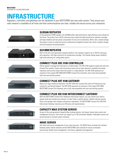# **INFRASTRUCTURE**

Repeaters, controllers and gateways are the backbone of your MOTOTRBO two-way radio system. They ensure your radio network is available at all times and that communications are clear, reliable and secure across your enterprise.



### **SLR5500 REPEATER**

A next-generation DMR repeater, the SLR5500 offers high performance, high efficiency and a design for the future. The product has a 50 W continuous-duty output and high sensitivity for optimum coverage, and high reliability and low power consumption for low cost of ownership. With a slim, modular design, the product is easy to install and service, enhanced by thoughtful touches like a built-in battery charger and multi-purpose mounting brackets.





Built on the slim next-generation repeater platform, this repeater supports up to 100 W continuousduty operation, with high sensitivity for exceptional coverage. The modular design keeps reliability high while allowing for configurable options.



### **CONNECT PLUS XRC 9100 CONTROLLER**

Deliver greater coverage and information to mobile teams. The XRC 9100 supports single and multi-site Connect Plus systems. Queue calls during busy times until an open channel is available and assign important users priority status when the system is in high demand. The XRC 9100 represents an evolution of the original XRC 9000 MOTOTRBO Connect Plus Controller, and is fully intercompatible with new and existing systems.



### **CONNECT PLUS XRT 9100 GATEWAY**

Reach your large workforce efficiently. The XRT 9100 links Connect Plus with an IP-based wire-line console for centralised dispatch. The XRT 9100 represents an evolution of the original XRT 9000 MOTOTRBO Connect Plus Gateway, and is fully intercompatible with new and existing systems.



### **CONNECT PLUS XRI 9100 INTERCONNECT GATEWAY**

With the MOTOTRBO Connect Plus Telephone Interconnect feature, you can connect your staff to people inside and outside your business, on their fixed or cellular phones. Handle customer queries direct, and manage inter-company transactions seamlessly. The MOTOTRBO Connect Plus XRI 9100 Interconnect Gateway improves your efficiency and responsiveness.



### **CAPACITY MAX SYSTEM SERVER**

As part of the next-generation Capacity Max trunking solution, the System Server hosts control and management functions. Each server can support up to 100 voice/data talkpaths. Redundant servers can be provisioned to increase system resilience.



### **WAVE SERVER**

Get robust and secure management of your client accounts. The WAVE Server provides the interface between public cellular networks and the MOTOTRBO radio network for secure centralised provisioning, flexible client management, call history, upgrades and diagnostics.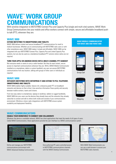## **WAVE**™  **WORK GROUP COMMUNICATIONS**

With wireline integration to MOTOTRBO Connect Plus and Capacity Plus (single and multi-site) systems, WAVE Work Group Communications lets your mobile and office workers connect with simple, secure and affordable broadband pushto-talk (PTT), wherever they are.

#### **WAVE 3000**

#### **EXTEND MOTOTRBO TO SMARTPHONES AND TABLETS**

WAVE 3000 delivers instant and secure broadband PTT communications for small to medium businesses. Whether you're communicating with MOTOTRBO radio users or with other smartphone users, WAVE 3000 makes it simple and affordable. WAVE 3000 can be integrated with your MOTOTRBO Connect Plus, Capacity Plus and Linked Capacity Plus systems, but can also be used as a standalone broadband PTT solution where radios are not required.

#### **TURN YOUR APPLE OR ANDROID DEVICE INTO A MULTI-CHANNEL PTT HANDSET**

Not everyone needs or wants to carry a radio handset. But they do want instant, secure access to important communications wherever they are. With a WAVE Mobile Communicator installed on a smartphone, tablet or custom handheld, any user can access MOTOTRBO communications from any location, talking with groups of other users or individuals as required.

### **WAVE 5000**

#### **INTEGRATE MOTOTRBO WITH ENTERPRISE IT AND EXTEND TO PCS, TELEPHONY, SMARTPHONES AND TABLETS**

WAVE 5000 enables highly scalable, feature rich, enterprise grade PTT on broadband networks and devices so that critical, time-sensitive information flows quickly and securely between mobile workers, teams and citizens.

From two-way radios to smartphones, laptops to landlines, tablets to rugged handhelds, WAVE 5000 lets your users use the devices they already have and the networks they already subscribe to connect and talk to others both inside and outside of your communications environment. Wireline or donor radio integrations with MOTOTRBO ensure system scalability and deployment flexibility.

#### **WAVE MOBILE COMMUNICATOR FOR WAVE 3000 AND WAVE 5000**

| <b>TELESCO</b> | w.<br>$-4$ |
|----------------|------------|
|                |            |
|                |            |
|                |            |
|                |            |
|                |            |
|                |            |
|                |            |
|                |            |



Group Call Private Call





Mapping Group Text

### **WAVE COMMUNICATORS**

#### **ENABLE YOUR WORKFORCE TO CONNECT AND COLLABORATE**

Whatever the device or available network, WAVE has client applications that meet the needs of all types of users. Called WAVE Communicators, these applications provide the user interface to a WAVE communications system.

| ۰ |   |
|---|---|
|   |   |
|   |   |
|   |   |
|   | ᆍ |
|   |   |
|   |   |
|   |   |
|   |   |

Define and manage your MOTOTRBO communications environment with WAVE Advanced Desktop Communicator.

| ÷,<br>٠<br>E<br>t     | <b>ATT</b>       | $\frac{1}{2}$<br>٩ | $\mathcal{L}_{\mathcal{C}}$ |        |                 |
|-----------------------|------------------|--------------------|-----------------------------|--------|-----------------|
| $\color{red} \bullet$ | Ψ.               | ä<br>n             | ł                           | ä<br>٠ | ٠<br>٠<br>$+ -$ |
| ı<br>٠                | ¥ö,<br>s<br>×    | ×<br>š             | ÷<br>٠                      | E)     | . .<br>-        |
| ĭ<br>ż                | Ñ.               | t<br>×<br>b        | s<br>×<br>ı                 | ı<br>٠ | ٠               |
| t                     | ï<br>ü<br>۰<br>× | s<br>ł             | ä<br>×<br>٠                 | ż<br>٠ | w<br>m<br>ш     |
| Ł                     | 灾<br>×           | εŘ                 | $1 - x$                     | ż<br>٠ | ×               |
| ž<br>or a             | ×<br>×<br>×      | 泪<br>۳             | 100                         | ¥<br>۰ | ٦               |

Give authorised PC users controlled access to MOTOTRBO communications channels with the WAVE Desktop Communicator.



With WAVE Web Communicator you can use a web browser to access your MOTOTRBO radio channels.